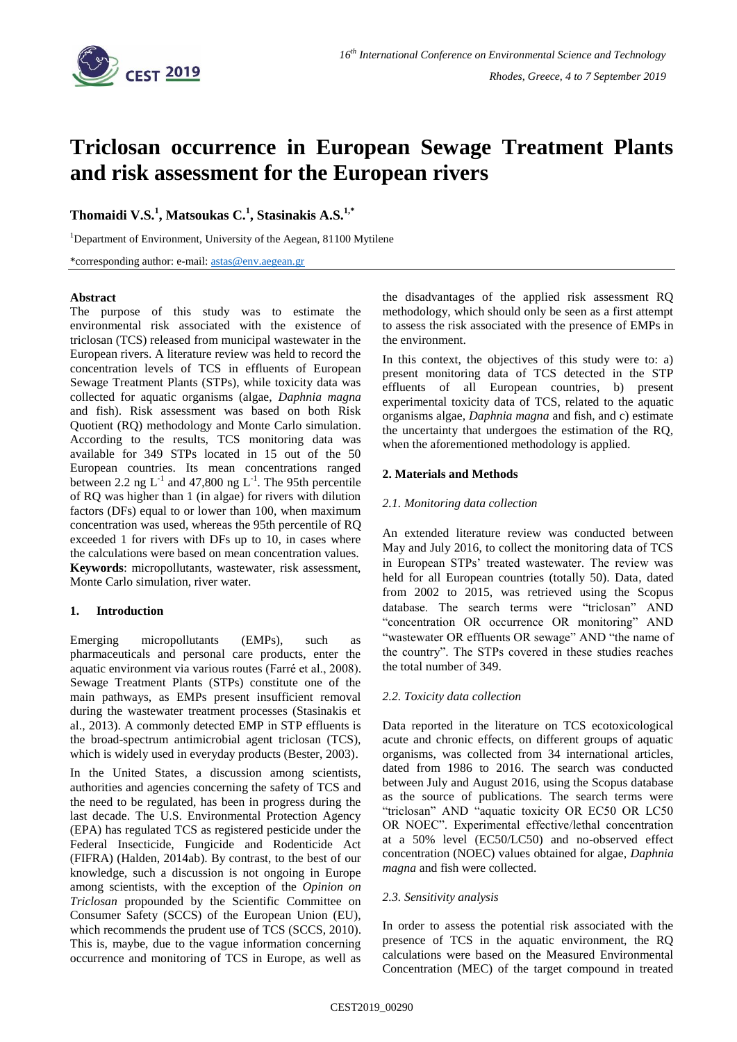

# **Triclosan occurrence in European Sewage Treatment Plants and risk assessment for the European rivers**

## **Thomaidi V.S.<sup>1</sup> , Matsoukas C.<sup>1</sup> , Stasinakis A.S.1,\***

<sup>1</sup>Department of Environment, University of the Aegean, 81100 Mytilene

\*corresponding author: e-mail: [astas@env.aegean.gr](mailto:astas@env.aegean.gr)

## **Abstract**

The purpose of this study was to estimate the environmental risk associated with the existence of triclosan (TCS) released from municipal wastewater in the European rivers. A literature review was held to record the concentration levels of TCS in effluents of European Sewage Treatment Plants (STPs), while toxicity data was collected for aquatic organisms (algae, *Daphnia magna*  and fish). Risk assessment was based on both Risk Quotient (RQ) methodology and Monte Carlo simulation. According to the results, TCS monitoring data was available for 349 STPs located in 15 out of the 50 European countries. Its mean concentrations ranged between 2.2 ng  $L^{-1}$  and 47,800 ng  $L^{-1}$ . The 95th percentile of RQ was higher than 1 (in algae) for rivers with dilution factors (DFs) equal to or lower than 100, when maximum concentration was used, whereas the 95th percentile of RQ exceeded 1 for rivers with DFs up to 10, in cases where the calculations were based on mean concentration values. **Keywords**: micropollutants, wastewater, risk assessment, Monte Carlo simulation, river water.

## **1. Introduction**

Emerging micropollutants (EMPs), such as pharmaceuticals and personal care products, enter the aquatic environment via various routes (Farré et al., 2008). Sewage Treatment Plants (STPs) constitute one of the main pathways, as EMPs present insufficient removal during the wastewater treatment processes (Stasinakis et al., 2013). A commonly detected EMP in STP effluents is the broad-spectrum antimicrobial agent triclosan (TCS), which is widely used in everyday products (Bester, 2003).

In the United States, a discussion among scientists, authorities and agencies concerning the safety of TCS and the need to be regulated, has been in progress during the last decade. The U.S. Environmental Protection Agency (EPA) has regulated TCS as registered pesticide under the Federal Insecticide, Fungicide and Rodenticide Act (FIFRA) (Halden, 2014ab). By contrast, to the best of our knowledge, such a discussion is not ongoing in Europe among scientists, with the exception of the *Opinion on Triclosan* propounded by the Scientific Committee on Consumer Safety (SCCS) of the European Union (EU), which recommends the prudent use of TCS (SCCS, 2010). This is, maybe, due to the vague information concerning occurrence and monitoring of TCS in Europe, as well as

the disadvantages of the applied risk assessment RQ methodology, which should only be seen as a first attempt to assess the risk associated with the presence of EMPs in the environment.

In this context, the objectives of this study were to: a) present monitoring data of TCS detected in the STP effluents of all European countries, b) present experimental toxicity data of TCS, related to the aquatic organisms algae, *Daphnia magna* and fish, and c) estimate the uncertainty that undergoes the estimation of the RQ, when the aforementioned methodology is applied.

## **2. Materials and Methods**

## *2.1. Monitoring data collection*

An extended literature review was conducted between May and July 2016, to collect the monitoring data of TCS in European STPs' treated wastewater. The review was held for all European countries (totally 50). Data, dated from 2002 to 2015, was retrieved using the Scopus database. The search terms were "triclosan" AND "concentration OR occurrence OR monitoring" AND "wastewater OR effluents OR sewage" AND "the name of the country". The STPs covered in these studies reaches the total number of 349.

## *2.2. Toxicity data collection*

Data reported in the literature on TCS ecotoxicological acute and chronic effects, on different groups of aquatic organisms, was collected from 34 international articles, dated from 1986 to 2016. The search was conducted between July and August 2016, using the Scopus database as the source of publications. The search terms were "triclosan" AND "aquatic toxicity OR EC50 OR LC50 OR NOEC". Experimental effective/lethal concentration at a 50% level (EC50/LC50) and no-observed effect concentration (NOEC) values obtained for algae, *Daphnia magna* and fish were collected.

## *2.3. Sensitivity analysis*

In order to assess the potential risk associated with the presence of TCS in the aquatic environment, the RQ calculations were based on the Measured Environmental Concentration (MEC) of the target compound in treated